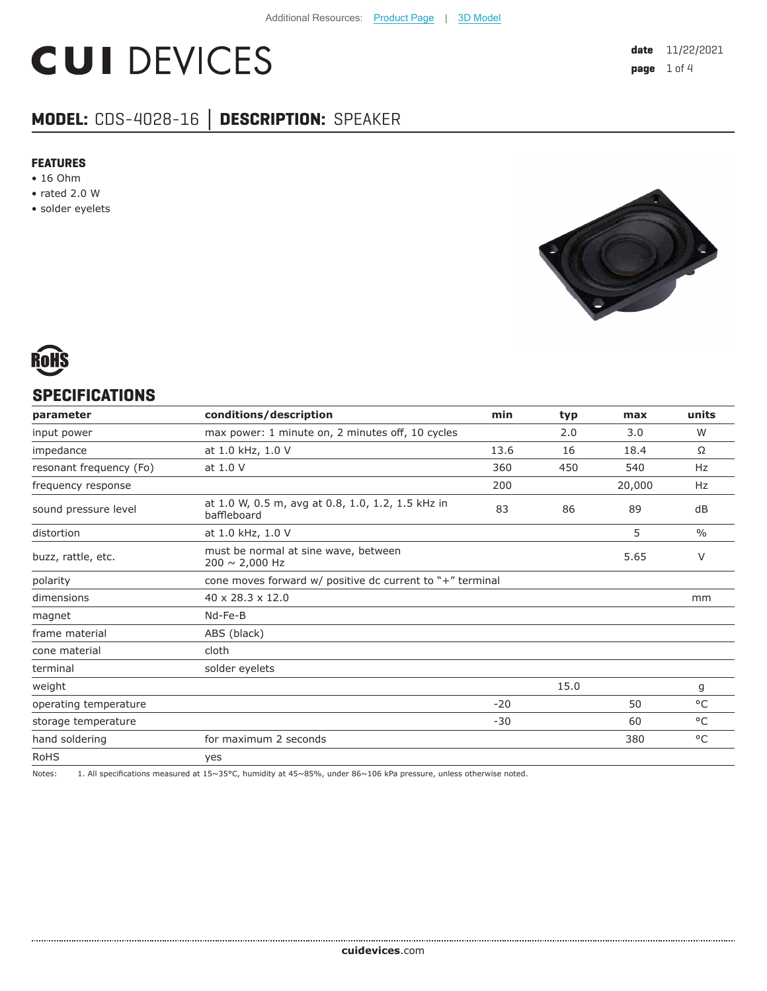# **CUI DEVICES**

# **MODEL:** CDS-4028-16 **│ DESCRIPTION:** SPEAKER

#### **FEATURES**

- 16 Ohm
- rated 2.0 W
- solder eyelets





#### **SPECIFICATIONS**

| parameter               | conditions/description                                           | min   | typ  | max    | units         |
|-------------------------|------------------------------------------------------------------|-------|------|--------|---------------|
| input power             | max power: 1 minute on, 2 minutes off, 10 cycles                 |       | 2.0  | 3.0    | W             |
| impedance               | at 1.0 kHz, 1.0 V                                                | 13.6  | 16   | 18.4   | Ω             |
| resonant frequency (Fo) | at 1.0 V                                                         | 360   | 450  | 540    | Hz            |
| frequency response      |                                                                  | 200   |      | 20,000 | Hz            |
| sound pressure level    | at 1.0 W, 0.5 m, avg at 0.8, 1.0, 1.2, 1.5 kHz in<br>baffleboard | 83    | 86   | 89     | dB            |
| distortion              | at 1.0 kHz, 1.0 V                                                |       |      | 5      | $\frac{0}{0}$ |
| buzz, rattle, etc.      | must be normal at sine wave, between<br>$200 \sim 2,000$ Hz      |       |      | 5.65   | V             |
| polarity                | cone moves forward w/ positive dc current to "+" terminal        |       |      |        |               |
| dimensions              | $40 \times 28.3 \times 12.0$                                     |       |      |        | mm            |
| magnet                  | Nd-Fe-B                                                          |       |      |        |               |
| frame material          | ABS (black)                                                      |       |      |        |               |
| cone material           | cloth                                                            |       |      |        |               |
| terminal                | solder eyelets                                                   |       |      |        |               |
| weight                  |                                                                  |       | 15.0 |        | g             |
| operating temperature   |                                                                  | $-20$ |      | 50     | $^{\circ}$ C  |
| storage temperature     |                                                                  | $-30$ |      | 60     | °C            |
| hand soldering          | for maximum 2 seconds                                            |       |      | 380    | $^{\circ}$ C  |
| <b>RoHS</b>             | yes                                                              |       |      |        |               |
|                         |                                                                  |       |      |        |               |

Notes: 1. All specifications measured at 15~35°C, humidity at 45~85%, under 86~106 kPa pressure, unless otherwise noted.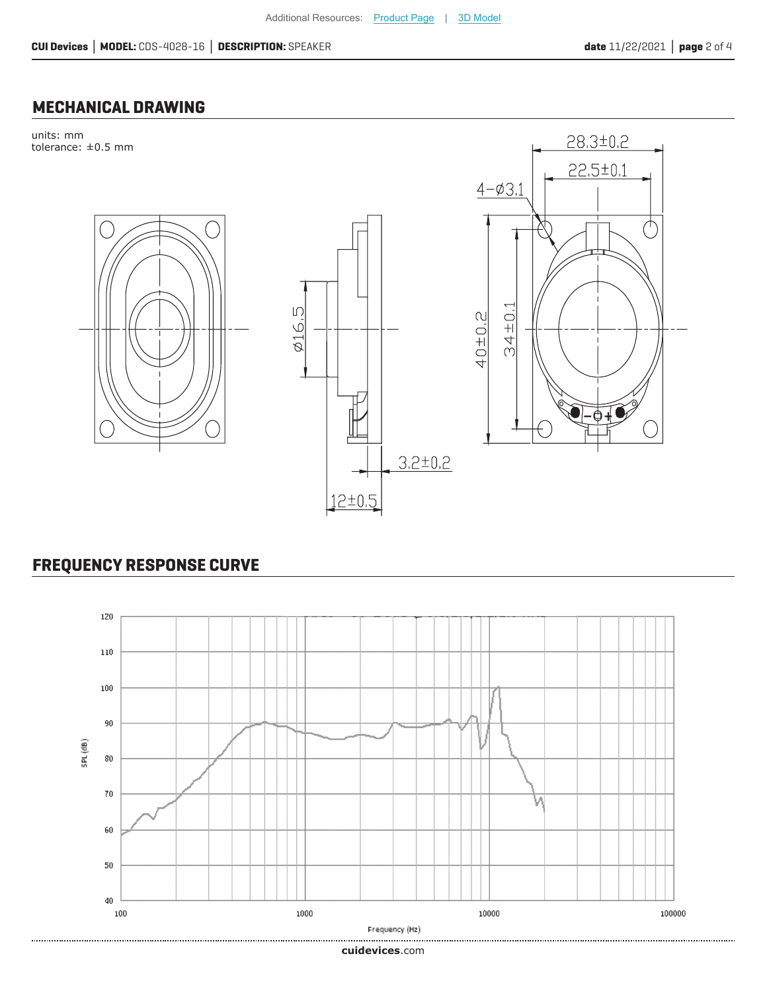### **MECHANICAL DRAWING**



## **FREQUENCY RESPONSE CURVE**



**cui[devices](https://www.cuidevices.com/track?actionLabel=Datasheet-ClickThrough-HomePage&label=CDS-4028-16.pdf&path=/)**.com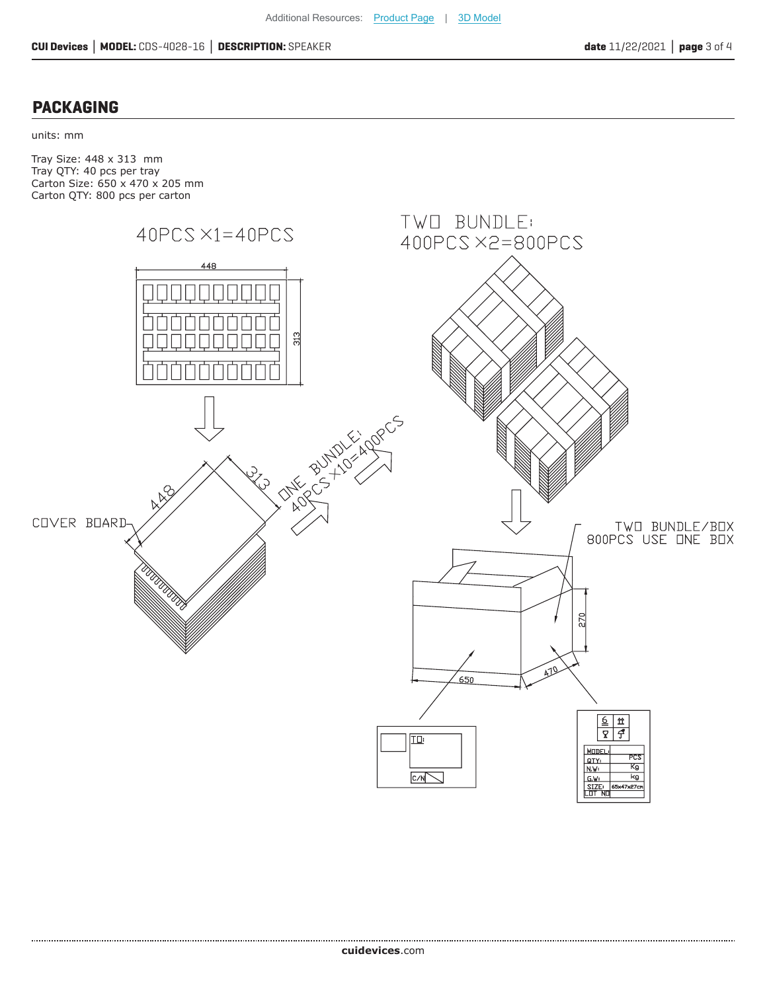#### **PACKAGING**

units: mm

Tray Size: 448 x 313 mm Tray QTY: 40 pcs per tray Carton Size: 650 x 470 x 205 mm Carton QTY: 800 pcs per carton